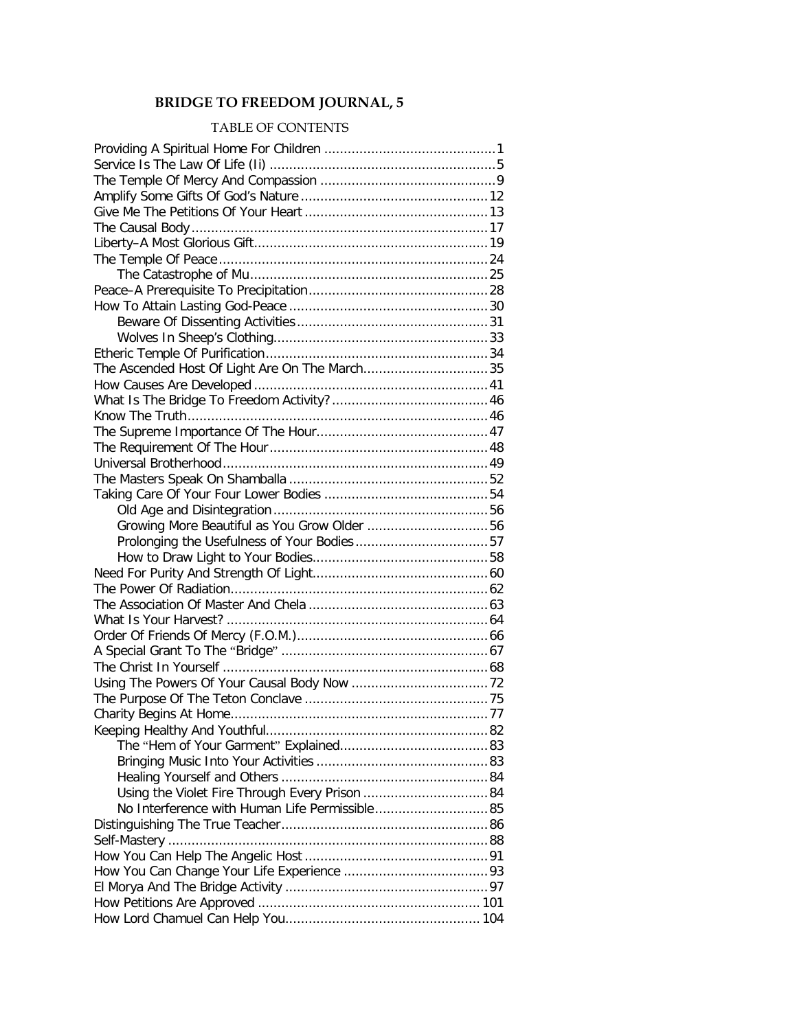## **BRIDGE TO FREEDOM JOURNAL, 5**

## TABLE OF CONTENTS

| The Ascended Host Of Light Are On The March35  |  |
|------------------------------------------------|--|
|                                                |  |
|                                                |  |
|                                                |  |
|                                                |  |
|                                                |  |
|                                                |  |
|                                                |  |
|                                                |  |
|                                                |  |
| Growing More Beautiful as You Grow Older 56    |  |
|                                                |  |
|                                                |  |
|                                                |  |
|                                                |  |
|                                                |  |
|                                                |  |
|                                                |  |
|                                                |  |
|                                                |  |
|                                                |  |
|                                                |  |
|                                                |  |
|                                                |  |
|                                                |  |
|                                                |  |
|                                                |  |
|                                                |  |
| No Interference with Human Life Permissible 85 |  |
|                                                |  |
|                                                |  |
|                                                |  |
|                                                |  |
|                                                |  |
|                                                |  |
|                                                |  |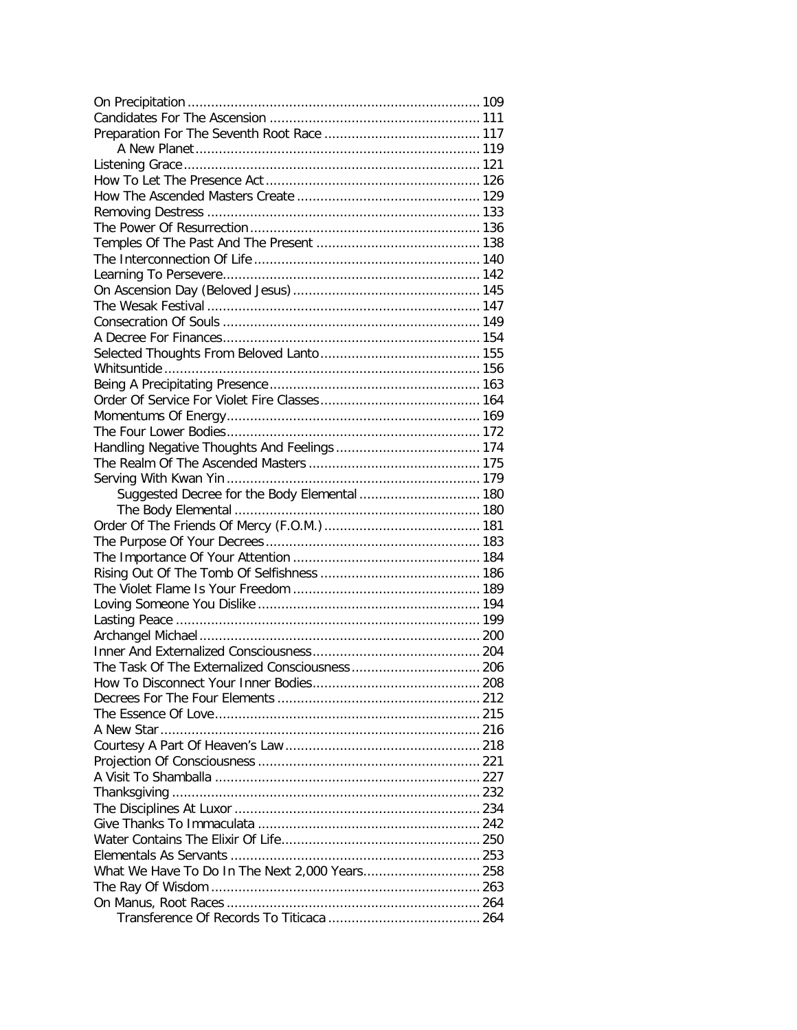| Suggested Decree for the Body Elemental  180 |  |
|----------------------------------------------|--|
|                                              |  |
|                                              |  |
|                                              |  |
|                                              |  |
|                                              |  |
|                                              |  |
|                                              |  |
|                                              |  |
|                                              |  |
|                                              |  |
|                                              |  |
|                                              |  |
|                                              |  |
|                                              |  |
|                                              |  |
|                                              |  |
|                                              |  |
|                                              |  |
|                                              |  |
|                                              |  |
|                                              |  |
|                                              |  |
|                                              |  |
|                                              |  |
|                                              |  |
|                                              |  |
|                                              |  |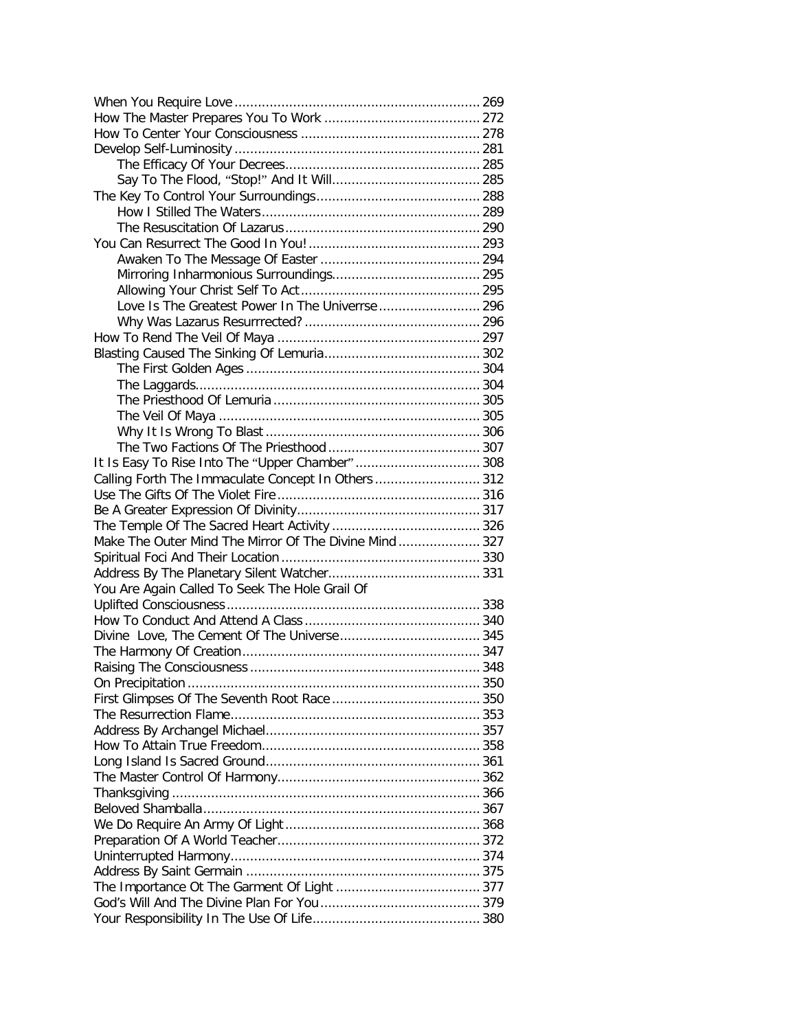| Love Is The Greatest Power In The Univerrse  296       |  |
|--------------------------------------------------------|--|
|                                                        |  |
|                                                        |  |
|                                                        |  |
|                                                        |  |
|                                                        |  |
|                                                        |  |
|                                                        |  |
|                                                        |  |
|                                                        |  |
|                                                        |  |
| Calling Forth The Immaculate Concept In Others  312    |  |
|                                                        |  |
|                                                        |  |
|                                                        |  |
| Make The Outer Mind The Mirror Of The Divine Mind  327 |  |
|                                                        |  |
|                                                        |  |
| You Are Again Called To Seek The Hole Grail Of         |  |
|                                                        |  |
|                                                        |  |
|                                                        |  |
|                                                        |  |
|                                                        |  |
|                                                        |  |
|                                                        |  |
|                                                        |  |
|                                                        |  |
|                                                        |  |
|                                                        |  |
|                                                        |  |
|                                                        |  |
|                                                        |  |
|                                                        |  |
|                                                        |  |
|                                                        |  |
|                                                        |  |
|                                                        |  |
|                                                        |  |
|                                                        |  |
|                                                        |  |